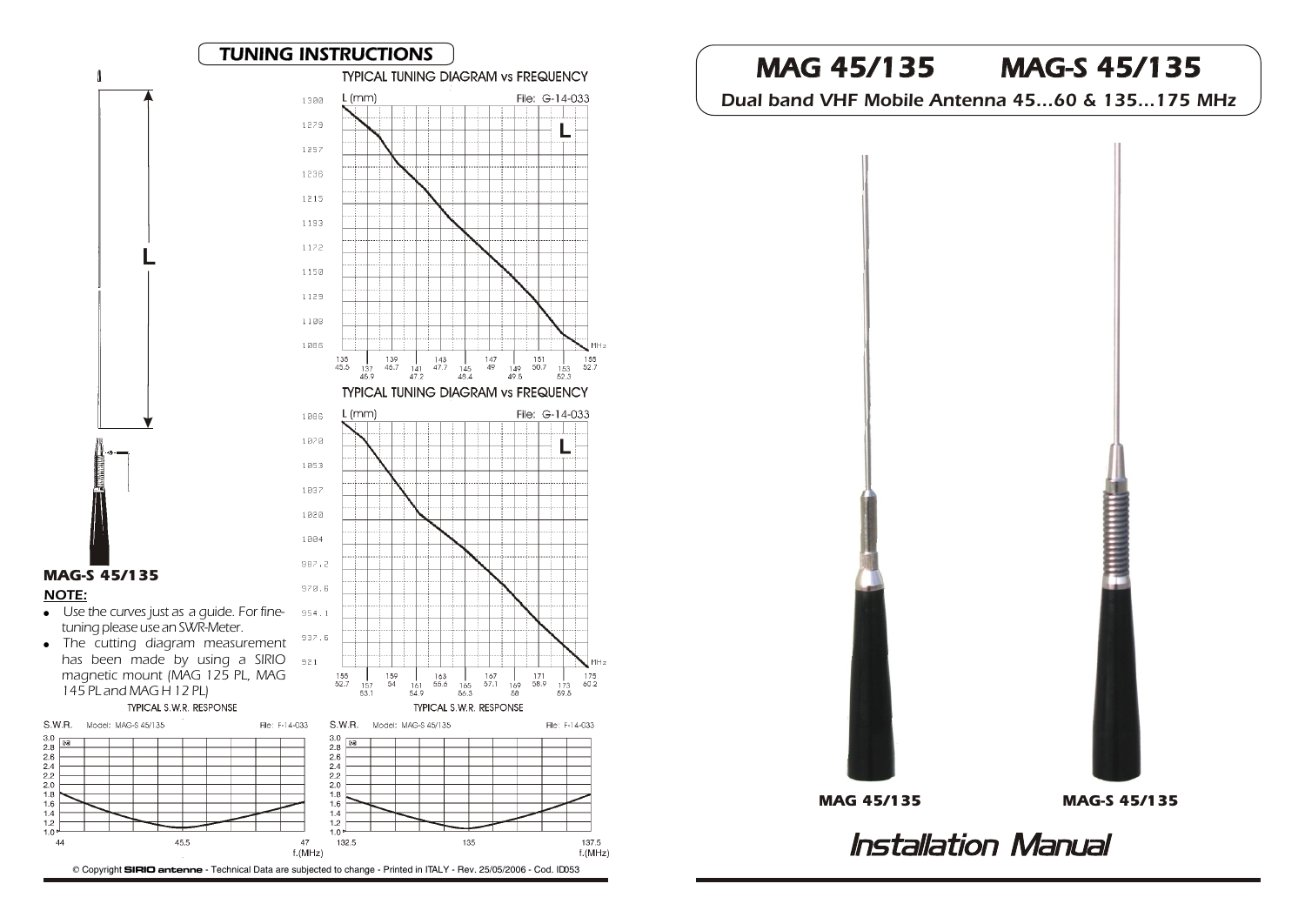

Copyright **SIRIO antenne** - Technical Data are subjected to change - Printed in ITALY - Rev. 25/05/2006 - Cod. ID053

# MAG 45/135 MAG-S 45/135

Dual band VHF Mobile Antenna 45...60 & 135...175 MHz